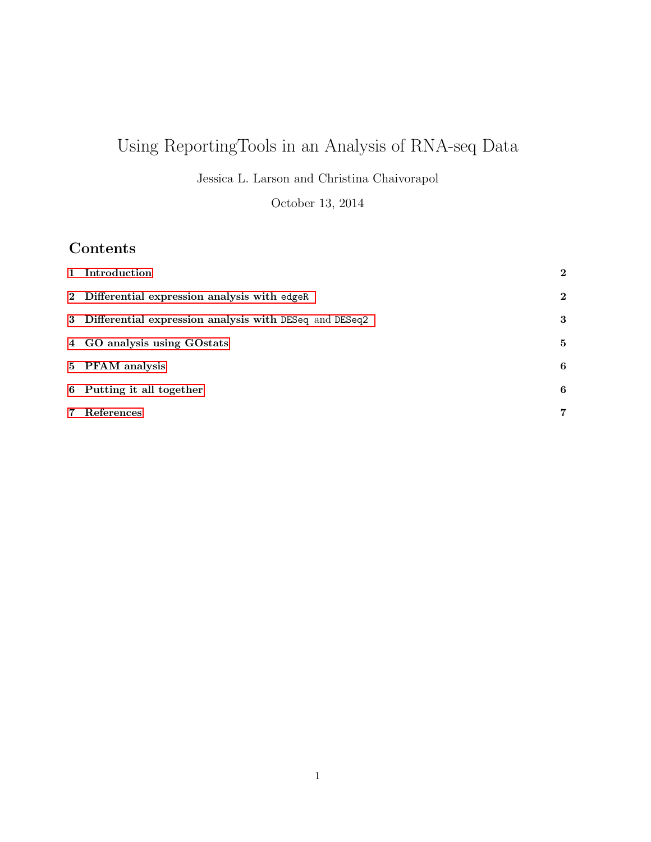# Using ReportingTools in an Analysis of RNA-seq Data

Jessica L. Larson and Christina Chaivorapol

October 13, 2014

# Contents

| 1 Introduction                                           | $\mathbf{2}$ |
|----------------------------------------------------------|--------------|
| 2 Differential expression analysis with edgeR            | $\mathbf{2}$ |
| 3 Differential expression analysis with DESeq and DESeq2 | 3            |
| 4 GO analysis using GOstats                              | 5            |
| 5 PFAM analysis                                          | 6            |
| 6 Putting it all together                                | 6            |
| 7 References                                             | 7            |
|                                                          |              |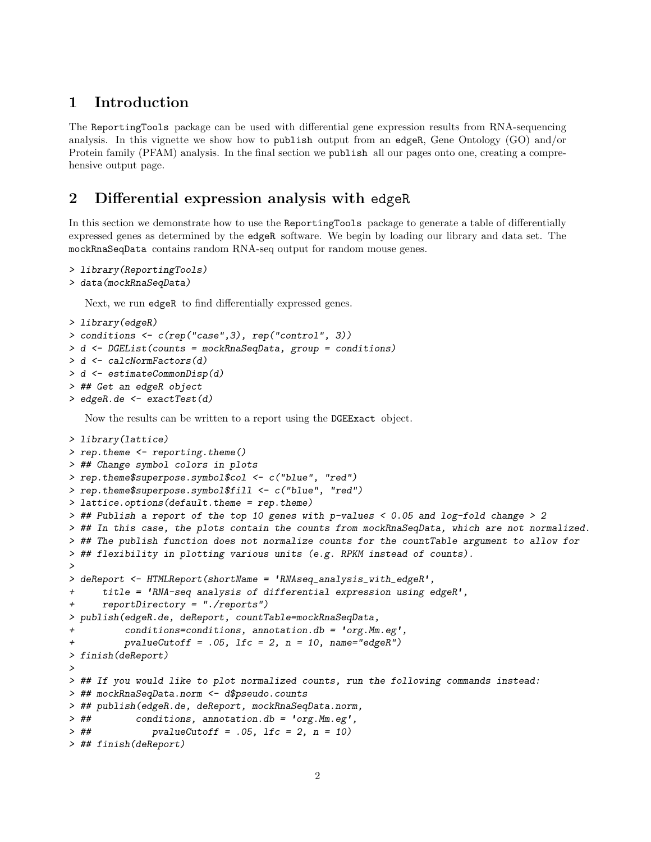### <span id="page-1-0"></span>1 Introduction

The ReportingTools package can be used with differential gene expression results from RNA-sequencing analysis. In this vignette we show how to publish output from an edgeR, Gene Ontology (GO) and/or Protein family (PFAM) analysis. In the final section we publish all our pages onto one, creating a comprehensive output page.

# <span id="page-1-1"></span>2 Differential expression analysis with edgeR

In this section we demonstrate how to use the ReportingTools package to generate a table of differentially expressed genes as determined by the edgeR software. We begin by loading our library and data set. The mockRnaSeqData contains random RNA-seq output for random mouse genes.

```
> library(ReportingTools)
```

```
> data(mockRnaSeqData)
```
Next, we run edgeR to find differentially expressed genes.

```
> library(edgeR)
> conditions <- c(rep("case",3), rep("control", 3))
> d <- DGEList(counts = mockRnaSeqData, group = conditions)
> d <- calcNormFactors(d)
> d <- estimateCommonDisp(d)
> ## Get an edgeR object
> edgeR.de <- exactTest(d)
```
Now the results can be written to a report using the DGEExact object.

```
> library(lattice)
> rep.theme <- reporting.theme()
> ## Change symbol colors in plots
> rep.theme$superpose.symbol$col <- c("blue", "red")
> rep.theme$superpose.symbol$fill <- c("blue", "red")
> lattice.options(default.theme = rep.theme)
> ## Publish a report of the top 10 genes with p-values < 0.05 and log-fold change > 2
> ## In this case, the plots contain the counts from mockRnaSeqData, which are not normalized.
> ## The publish function does not normalize counts for the countTable argument to allow for
> ## flexibility in plotting various units (e.g. RPKM instead of counts).
>
> deReport <- HTMLReport(shortName = 'RNAseq_analysis_with_edgeR',
+ title = 'RNA-seq analysis of differential expression using edgeR',
+ reportDirectory = "./reports")
> publish(edgeR.de, deReport, countTable=mockRnaSeqData,
+ conditions=conditions, annotation.db = 'org.Mm.eg',
         pvalueCutoff = .05, 1fc = 2, n = 10, name="edgeR"> finish(deReport)
>
> ## If you would like to plot normalized counts, run the following commands instead:
> ## mockRnaSeqData.norm <- d$pseudo.counts
> ## publish(edgeR.de, deReport, mockRnaSeqData.norm,
> ## conditions, annotation.db = 'org.Mm.eg',
>  ## pvalueCutoff = .05, lfc = 2, n = 10)
> ## finish(deReport)
```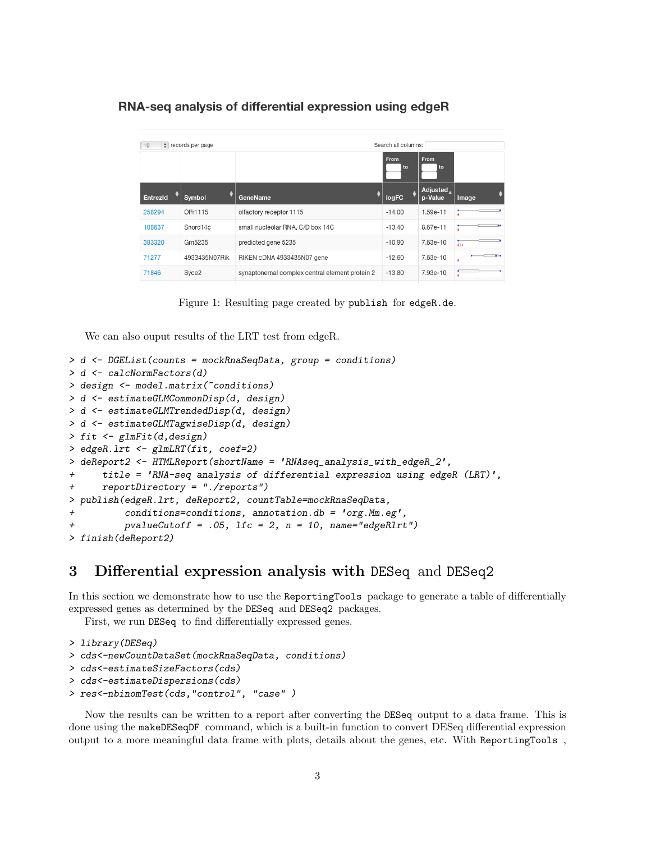#### RNA-seq analysis of differential expression using edgeR

| 10              | $\div$ records per page | Search all columns:                            |              |                      |                 |
|-----------------|-------------------------|------------------------------------------------|--------------|----------------------|-----------------|
|                 |                         |                                                | From<br>l to | <b>From</b><br>to    |                 |
| <b>EntrezId</b> | Symbol                  | ٠<br>GeneName                                  | logFC        | Adjusted.<br>p-Value | ≙<br>Image      |
| 258294          | Olfr1115                | olfactory receptor 1115                        | $-14.00$     | 1.59e-11             |                 |
| 108637          | Snord14c                | small nucleolar RNA, C/D box 14C               | $-13.40$     | 8.67e-11             |                 |
| 383320          | Gm5235                  | predicted gene 5235                            | $-10.90$     | 7.63e-10             | $+1+$           |
| 71277           | 4933435N07Rik           | RIKEN cDNA 4933435N07 gene                     | $-12.60$     | 7.63e-10             | $\rightarrow +$ |
| 71846           | Syce <sub>2</sub>       | synaptonemal complex central element protein 2 | $-13.80$     | 7.93e-10             |                 |

Figure 1: Resulting page created by publish for edgeR.de.

We can also ouput results of the LRT test from edgeR.

```
> d <- DGEList(counts = mockRnaSeqData, group = conditions)
> d <- calcNormFactors(d)
> design <- model.matrix(~conditions)
> d <- estimateGLMCommonDisp(d, design)
> d <- estimateGLMTrendedDisp(d, design)
> d <- estimateGLMTagwiseDisp(d, design)
> fit <- glmFit(d,design)
> edgeR.lrt <- glmLRT(fit, coef=2)
> deReport2 <- HTMLReport(shortName = 'RNAseq_analysis_with_edgeR_2',
+ title = 'RNA-seq analysis of differential expression using edgeR (LRT)',
+ reportDirectory = "./reports")
> publish(edgeR.lrt, deReport2, countTable=mockRnaSeqData,
+ conditions=conditions, annotation.db = 'org.Mm.eg',
+ pvalueCutoff = .05, lfc = 2, n = 10, name="edgeRlrt")
> finish(deReport2)
```
## <span id="page-2-0"></span>3 Differential expression analysis with DESeq and DESeq2

In this section we demonstrate how to use the ReportingTools package to generate a table of differentially expressed genes as determined by the DESeq and DESeq2 packages.

First, we run DESeq to find differentially expressed genes.

```
> library(DESeq)
> cds<-newCountDataSet(mockRnaSeqData, conditions)
> cds<-estimateSizeFactors(cds)
> cds<-estimateDispersions(cds)
> res<-nbinomTest(cds,"control", "case" )
```
Now the results can be written to a report after converting the DESeq output to a data frame. This is done using the makeDESeqDF command, which is a built-in function to convert DESeq differential expression output to a more meaningful data frame with plots, details about the genes, etc. With ReportingTools ,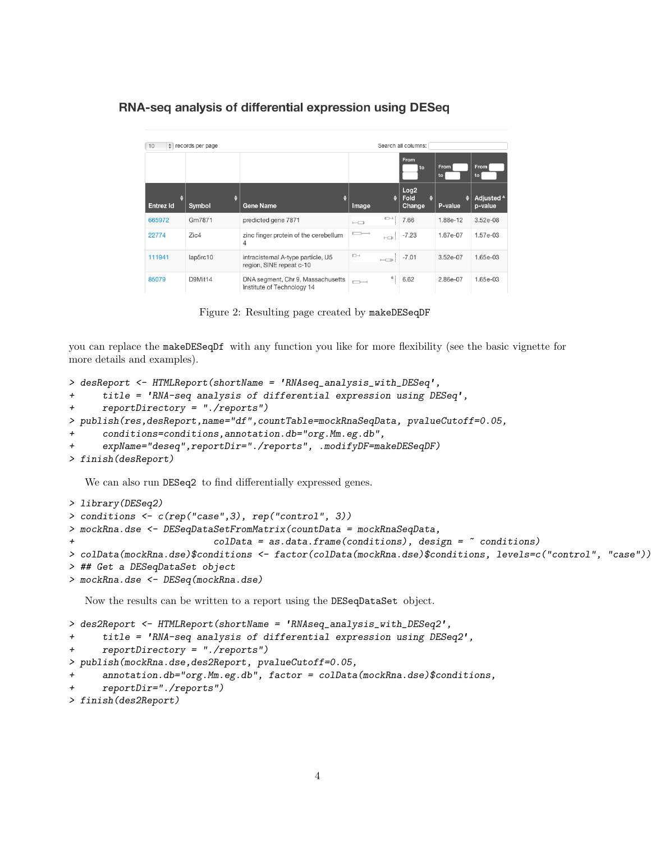#### RNA-seg analysis of differential expression using DESeg

| 10                    | $\div$ records per page |                                                                 | Search all columns:      |               |                                         |              |                                  |  |  |
|-----------------------|-------------------------|-----------------------------------------------------------------|--------------------------|---------------|-----------------------------------------|--------------|----------------------------------|--|--|
|                       |                         |                                                                 |                          |               | From<br>to                              | From<br>to   | From<br>to                       |  |  |
| ٠<br><b>Entrez Id</b> | ٠<br>Symbol             | ÷<br><b>Gene Name</b>                                           | Image                    | ٠             | Log <sub>2</sub><br>Fold<br>≙<br>Change | ۵<br>P-value | Adjusted <sup>4</sup><br>p-value |  |  |
| 665972                | Gm7871                  | predicted gene 7871                                             | $\overline{\phantom{0}}$ | $\bigoplus$   | 7.66                                    | 1.88e-12     | 3.52e-08                         |  |  |
| 22774                 | Zic4                    | zinc finger protein of the cerebellum<br>4                      | $\overline{\phantom{a}}$ | $\leftarrow$  | $-7.23$                                 | 1.67e-07     | 1.57e-03                         |  |  |
| 111941                | lap5rc10                | intracisternal A-type particle, U5<br>region, SINE repeat c-10  | $\Box$                   | $\longmapsto$ | $-7.01$                                 | 3.52e-07     | 1.65e-03                         |  |  |
| 85079                 | D9Mit14                 | DNA segment, Chr 9, Massachusetts<br>Institute of Technology 14 |                          | 悟             | 6.62                                    | 2.86e-07     | 1.65e-03                         |  |  |

Figure 2: Resulting page created by makeDESeqDF

you can replace the makeDESeqDf with any function you like for more flexibility (see the basic vignette for more details and examples).

```
> desReport <- HTMLReport(shortName = 'RNAseq_analysis_with_DESeq',
     + title = 'RNA-seq analysis of differential expression using DESeq',
+ reportDirectory = "./reports")
> publish(res,desReport,name="df",countTable=mockRnaSeqData, pvalueCutoff=0.05,
      + conditions=conditions,annotation.db="org.Mm.eg.db",
      expName="deseq",reportDir="./reports", .modifyDF=makeDESeqDF)
> finish(desReport)
```
We can also run DESeq2 to find differentially expressed genes.

```
> library(DESeq2)
> conditions <- c(rep("case",3), rep("control", 3))
> mockRna.dse <- DESeqDataSetFromMatrix(countData = mockRnaSeqData,
+ colData = as.data.frame(conditions), design = ~ conditions)
> colData(mockRna.dse)$conditions <- factor(colData(mockRna.dse)$conditions, levels=c("control", "case"))
> ## Get a DESeqDataSet object
> mockRna.dse <- DESeq(mockRna.dse)
```
Now the results can be written to a report using the DESeqDataSet object.

```
> des2Report <- HTMLReport(shortName = 'RNAseq_analysis_with_DESeq2',
     + title = 'RNA-seq analysis of differential expression using DESeq2',
+ reportDirectory = "./reports")
> publish(mockRna.dse,des2Report, pvalueCutoff=0.05,
+ annotation.db="org.Mm.eg.db", factor = colData(mockRna.dse)$conditions,
     + reportDir="./reports")
> finish(des2Report)
```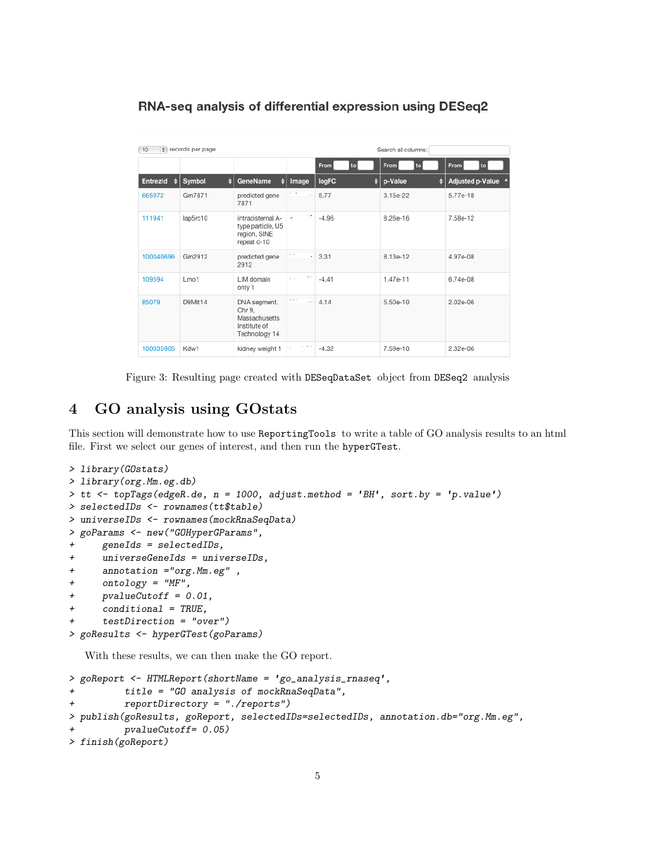#### RNA-seg analysis of differential expression using DESeg2

| 10            | # records per page |                                                                          |                                                 | Search all columns: |                   |                    |  |  |  |
|---------------|--------------------|--------------------------------------------------------------------------|-------------------------------------------------|---------------------|-------------------|--------------------|--|--|--|
|               |                    |                                                                          |                                                 | From<br>to          | <b>From</b><br>to | From<br>to         |  |  |  |
| Entrezid<br>A | ٠<br>Symbol        | GeneName<br>a                                                            | Image                                           | logFC<br>۰          | p-Value           | Adjusted p-Value 4 |  |  |  |
| 665972        | Gm7871             | predicted gene<br>7871                                                   | $\mathbf{r}$ .                                  | 5.77                | 3.15e-22          | 5.77e-18           |  |  |  |
| 111941        | lap5rc10           | intracisternal A-<br>type particle, U5<br>region, SINE<br>repeat c-10    | $\sim 100$<br>m.                                | $-4.96$             | 8.26e-16          | 7.58e-12           |  |  |  |
| 100040696     | Gm2912             | predicted gene<br>2912                                                   | ×.                                              | 3.31                | 8.13e-12          | 4.97e-08           |  |  |  |
| 109594        | Lmo1               | LIM domain<br>only 1                                                     | $\mathbf{m}$ .<br>$\mathbf{r} \in \mathbb{R}^n$ | $-4.41$             | 1.47e-11          | 6.74e-08           |  |  |  |
| 85079         | D9Mit14            | DNA segment,<br>Chr 9.<br>Massachusetts<br>Institute of<br>Technology 14 | $\sim 100$<br><b>Auto</b>                       | 4.14                | 5.50e-10          | 2.02e-06           |  |  |  |
| 100035905     | Kdw1               | kidney weight 1                                                          | $1 - 1 + 1$                                     | $-4.32$             | 7.59e-10          | 2.32e-06           |  |  |  |

Figure 3: Resulting page created with DESeqDataSet object from DESeq2 analysis

# <span id="page-4-0"></span>4 GO analysis using GOstats

This section will demonstrate how to use ReportingTools to write a table of GO analysis results to an html file. First we select our genes of interest, and then run the hyperGTest.

```
> library(GOstats)
> library(org.Mm.eg.db)
> tt \le topTags(edgeR.de, n = 1000, adjust.method = 'BH', sort.by = 'p.value')
> selectedIDs <- rownames(tt$table)
> universeIDs <- rownames(mockRnaSeqData)
> goParams <- new("GOHyperGParams",
+ geneIds = selectedIDs,
+ universeGeneIds = universeIDs,
+ annotation ="org.Mm.eg" ,
+ ontology = "MF",
+ pvalueCutoff = 0.01,
+ conditional = TRUE,
+ testDirection = "over")
> goResults <- hyperGTest(goParams)
```
With these results, we can then make the GO report.

```
> goReport <- HTMLReport(shortName = 'go_analysis_rnaseq',
+ title = "GO analysis of mockRnaSeqData",
+ reportDirectory = "./reports")
> publish(goResults, goReport, selectedIDs=selectedIDs, annotation.db="org.Mm.eg",
         pvalueCutoff= 0.05)> finish(goReport)
```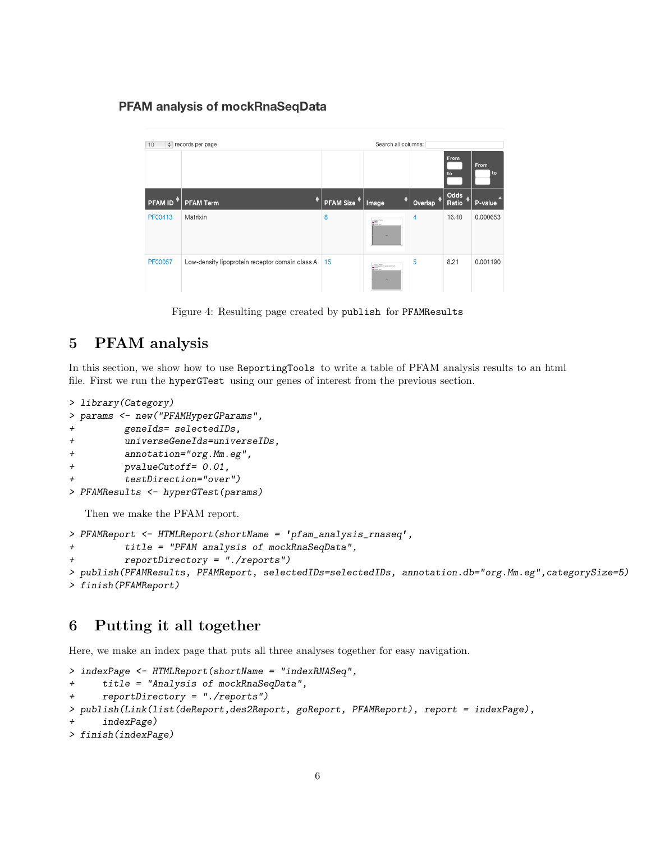#### **PFAM analysis of mockRnaSegData**

| 10                   | # records per page                              | Search all columns: |                                                     |                      |                    |                   |  |  |
|----------------------|-------------------------------------------------|---------------------|-----------------------------------------------------|----------------------|--------------------|-------------------|--|--|
|                      |                                                 |                     |                                                     |                      | From<br>to         | From<br><b>to</b> |  |  |
| PFAM ID <sup>+</sup> | $\ddot{ }$<br><b>PFAM Term</b>                  | <b>PFAM Size</b>    | ♦<br>Image                                          | Overlap <sup>+</sup> | Odds<br>A<br>Ratio | P-value           |  |  |
| PF00413              | Matrixin                                        | 8                   | $\frac{1}{2}$                                       | 4                    | 16.40              | 0.000653          |  |  |
| <b>PF00057</b>       | Low-density lipoprotein receptor domain class A | 15                  | Contractions approved to the<br><b>Allen Avenue</b> | 5                    | 8.21               | 0.001190          |  |  |

Figure 4: Resulting page created by publish for PFAMResults

## <span id="page-5-0"></span>5 PFAM analysis

In this section, we show how to use ReportingTools to write a table of PFAM analysis results to an html file. First we run the hyperGTest using our genes of interest from the previous section.

```
> library(Category)
> params <- new("PFAMHyperGParams",
+ geneIds= selectedIDs,
+ universeGeneIds=universeIDs,
+ annotation="org.Mm.eg",
+ pvalueCutoff= 0.01,
+ testDirection="over")
> PFAMResults <- hyperGTest(params)
```
Then we make the PFAM report.

```
> PFAMReport <- HTMLReport(shortName = 'pfam_analysis_rnaseq',
```
+ title = "PFAM analysis of mockRnaSeqData",

```
+ reportDirectory = "./reports")
```

```
> publish(PFAMResults, PFAMReport, selectedIDs=selectedIDs, annotation.db="org.Mm.eg",categorySize=5)
> finish(PFAMReport)
```
# <span id="page-5-1"></span>6 Putting it all together

Here, we make an index page that puts all three analyses together for easy navigation.

```
> indexPage <- HTMLReport(shortName = "indexRNASeq",
     + title = "Analysis of mockRnaSeqData",
+ reportDirectory = "./reports")
> publish(Link(list(deReport,des2Report, goReport, PFAMReport), report = indexPage),
     indexPage)
> finish(indexPage)
```